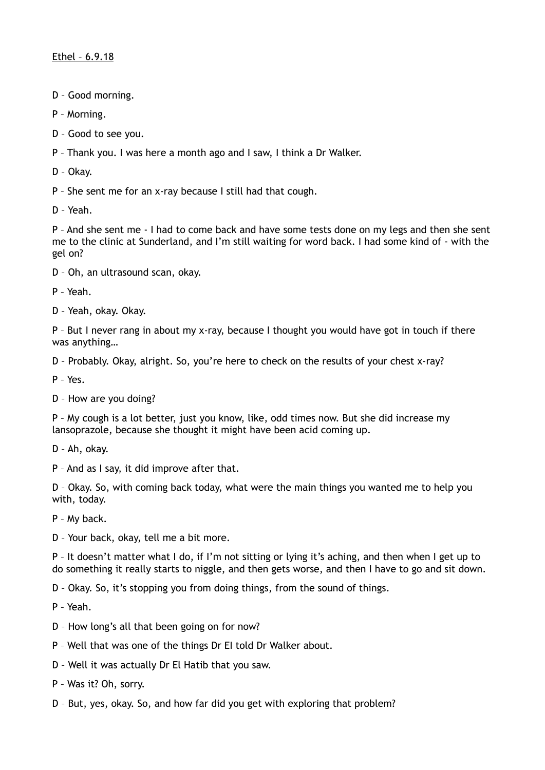- D Good morning.
- P Morning.
- D Good to see you.
- P Thank you. I was here a month ago and I saw, I think a Dr Walker.
- D Okay.
- P She sent me for an x-ray because I still had that cough.
- D Yeah.

P – And she sent me - I had to come back and have some tests done on my legs and then she sent me to the clinic at Sunderland, and I'm still waiting for word back. I had some kind of - with the gel on?

- D Oh, an ultrasound scan, okay.
- P Yeah.
- D Yeah, okay. Okay.

P – But I never rang in about my x-ray, because I thought you would have got in touch if there was anything…

- D Probably. Okay, alright. So, you're here to check on the results of your chest x-ray?
- P Yes.
- D How are you doing?

P – My cough is a lot better, just you know, like, odd times now. But she did increase my lansoprazole, because she thought it might have been acid coming up.

- D Ah, okay.
- P And as I say, it did improve after that.

D – Okay. So, with coming back today, what were the main things you wanted me to help you with, today.

P – My back.

D – Your back, okay, tell me a bit more.

P – It doesn't matter what I do, if I'm not sitting or lying it's aching, and then when I get up to do something it really starts to niggle, and then gets worse, and then I have to go and sit down.

D – Okay. So, it's stopping you from doing things, from the sound of things.

P – Yeah.

- D How long's all that been going on for now?
- P Well that was one of the things Dr EI told Dr Walker about.
- D Well it was actually Dr El Hatib that you saw.
- P Was it? Oh, sorry.
- D But, yes, okay. So, and how far did you get with exploring that problem?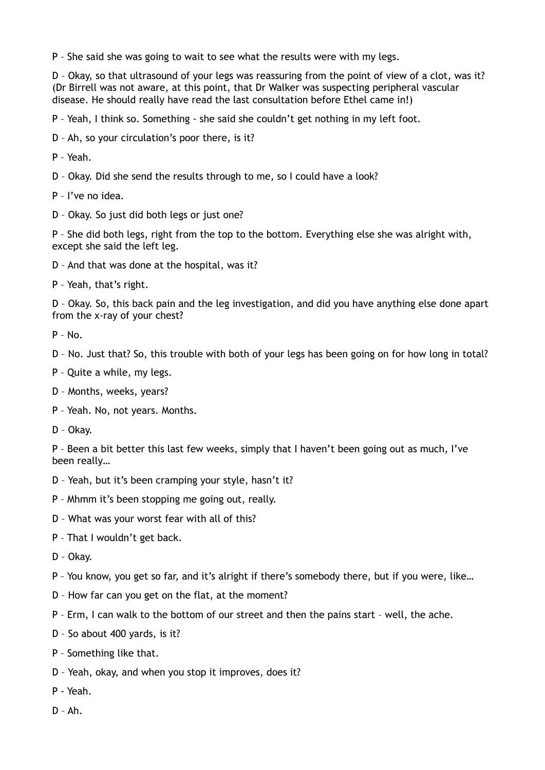P – She said she was going to wait to see what the results were with my legs.

D – Okay, so that ultrasound of your legs was reassuring from the point of view of a clot, was it? (Dr Birrell was not aware, at this point, that Dr Walker was suspecting peripheral vascular disease. He should really have read the last consultation before Ethel came in!)

P – Yeah, I think so. Something - she said she couldn't get nothing in my left foot.

D – Ah, so your circulation's poor there, is it?

- P Yeah.
- D Okay. Did she send the results through to me, so I could have a look?
- P I've no idea.
- D Okay. So just did both legs or just one?

P – She did both legs, right from the top to the bottom. Everything else she was alright with, except she said the left leg.

- D And that was done at the hospital, was it?
- P Yeah, that's right.

D – Okay. So, this back pain and the leg investigation, and did you have anything else done apart from the x-ray of your chest?

- $P N_0$
- D No. Just that? So, this trouble with both of your legs has been going on for how long in total?
- P Quite a while, my legs.
- D Months, weeks, years?
- P Yeah. No, not years. Months.
- D Okay.

P – Been a bit better this last few weeks, simply that I haven't been going out as much, I've been really…

- D Yeah, but it's been cramping your style, hasn't it?
- P Mhmm it's been stopping me going out, really.
- D What was your worst fear with all of this?
- P That I wouldn't get back.
- D Okay.
- P You know, you get so far, and it's alright if there's somebody there, but if you were, like…
- D How far can you get on the flat, at the moment?
- P Erm, I can walk to the bottom of our street and then the pains start well, the ache.
- D So about 400 yards, is it?
- P Something like that.
- D Yeah, okay, and when you stop it improves, does it?
- P Yeah.
- $D Ah$ .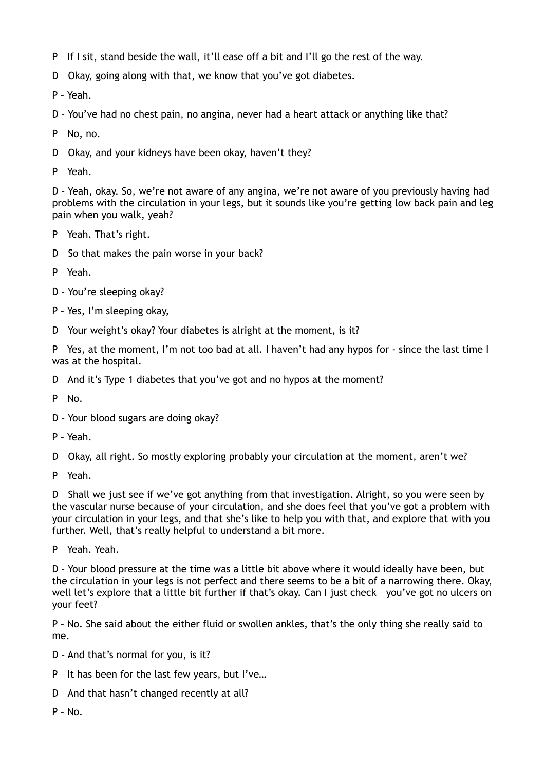- P If I sit, stand beside the wall, it'll ease off a bit and I'll go the rest of the way.
- D Okay, going along with that, we know that you've got diabetes.
- P Yeah.
- D You've had no chest pain, no angina, never had a heart attack or anything like that?
- P No, no.
- D Okay, and your kidneys have been okay, haven't they?
- P Yeah.

D – Yeah, okay. So, we're not aware of any angina, we're not aware of you previously having had problems with the circulation in your legs, but it sounds like you're getting low back pain and leg pain when you walk, yeah?

- P Yeah. That's right.
- D So that makes the pain worse in your back?
- P Yeah.
- D You're sleeping okay?
- P Yes, I'm sleeping okay,
- D Your weight's okay? Your diabetes is alright at the moment, is it?

P – Yes, at the moment, I'm not too bad at all. I haven't had any hypos for - since the last time I was at the hospital.

D – And it's Type 1 diabetes that you've got and no hypos at the moment?

- $P No$ .
- D Your blood sugars are doing okay?
- P Yeah.

D – Okay, all right. So mostly exploring probably your circulation at the moment, aren't we?

P – Yeah.

D – Shall we just see if we've got anything from that investigation. Alright, so you were seen by the vascular nurse because of your circulation, and she does feel that you've got a problem with your circulation in your legs, and that she's like to help you with that, and explore that with you further. Well, that's really helpful to understand a bit more.

P – Yeah. Yeah.

D – Your blood pressure at the time was a little bit above where it would ideally have been, but the circulation in your legs is not perfect and there seems to be a bit of a narrowing there. Okay, well let's explore that a little bit further if that's okay. Can I just check – you've got no ulcers on your feet?

P – No. She said about the either fluid or swollen ankles, that's the only thing she really said to me.

- D And that's normal for you, is it?
- P It has been for the last few years, but I've…
- D And that hasn't changed recently at all?
- $P No$ .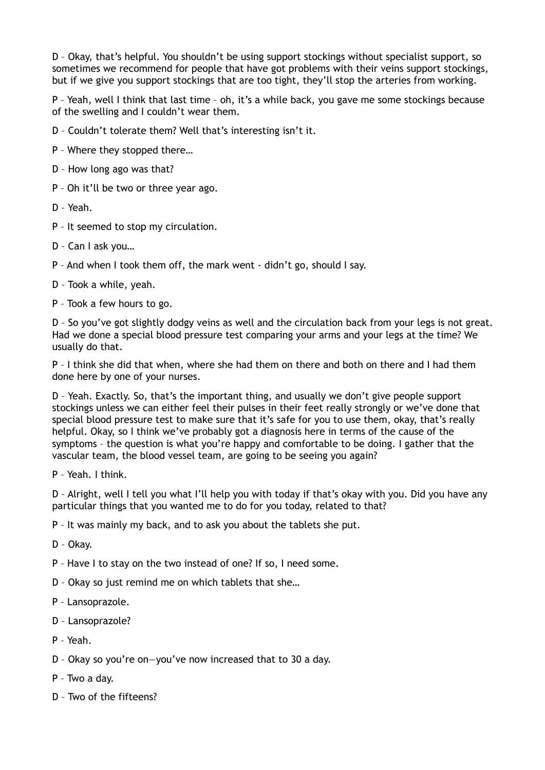D – Okay, that's helpful. You shouldn't be using support stockings without specialist support, so sometimes we recommend for people that have got problems with their veins support stockings, but if we give you support stockings that are too tight, they'll stop the arteries from working.

P – Yeah, well I think that last time – oh, it's a while back, you gave me some stockings because of the swelling and I couldn't wear them.

D – Couldn't tolerate them? Well that's interesting isn't it.

P – Where they stopped there…

- D How long ago was that?
- P Oh it'll be two or three year ago.

D – Yeah.

P – It seemed to stop my circulation.

D – Can I ask you…

P – And when I took them off, the mark went - didn't go, should I say.

D – Took a while, yeah.

P – Took a few hours to go.

D – So you've got slightly dodgy veins as well and the circulation back from your legs is not great. Had we done a special blood pressure test comparing your arms and your legs at the time? We usually do that.

P – I think she did that when, where she had them on there and both on there and I had them done here by one of your nurses.

D – Yeah. Exactly. So, that's the important thing, and usually we don't give people support stockings unless we can either feel their pulses in their feet really strongly or we've done that special blood pressure test to make sure that it's safe for you to use them, okay, that's really helpful. Okay, so I think we've probably got a diagnosis here in terms of the cause of the symptoms – the question is what you're happy and comfortable to be doing. I gather that the vascular team, the blood vessel team, are going to be seeing you again?

P – Yeah. I think.

D – Alright, well I tell you what I'll help you with today if that's okay with you. Did you have any particular things that you wanted me to do for you today, related to that?

P – It was mainly my back, and to ask you about the tablets she put.

D – Okay.

P – Have I to stay on the two instead of one? If so, I need some.

- D Okay so just remind me on which tablets that she…
- P Lansoprazole.
- D Lansoprazole?
- P Yeah.
- D Okay so you're on—you've now increased that to 30 a day.
- P Two a day.
- D Two of the fifteens?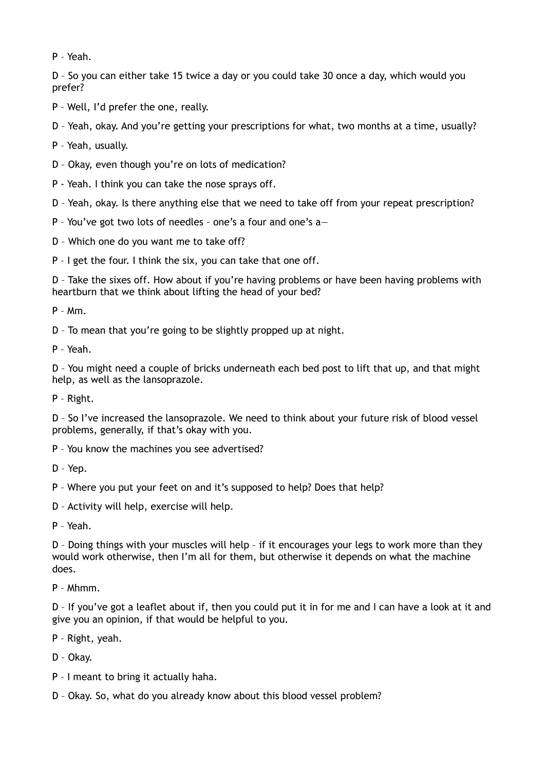P – Yeah.

D – So you can either take 15 twice a day or you could take 30 once a day, which would you prefer?

P – Well, I'd prefer the one, really.

D – Yeah, okay. And you're getting your prescriptions for what, two months at a time, usually?

- P Yeah, usually.
- D Okay, even though you're on lots of medication?
- P Yeah. I think you can take the nose sprays off.

D – Yeah, okay. Is there anything else that we need to take off from your repeat prescription?

- P You've got two lots of needles one's a four and one's a—
- D Which one do you want me to take off?

P – I get the four. I think the six, you can take that one off.

D – Take the sixes off. How about if you're having problems or have been having problems with heartburn that we think about lifting the head of your bed?

P – Mm.

D – To mean that you're going to be slightly propped up at night.

P – Yeah.

D – You might need a couple of bricks underneath each bed post to lift that up, and that might help, as well as the lansoprazole.

P – Right.

D – So I've increased the lansoprazole. We need to think about your future risk of blood vessel problems, generally, if that's okay with you.

- P You know the machines you see advertised?
- D Yep.
- P Where you put your feet on and it's supposed to help? Does that help?
- D Activity will help, exercise will help.

P – Yeah.

D – Doing things with your muscles will help – if it encourages your legs to work more than they would work otherwise, then I'm all for them, but otherwise it depends on what the machine does.

P – Mhmm.

D – If you've got a leaflet about if, then you could put it in for me and I can have a look at it and give you an opinion, if that would be helpful to you.

P – Right, yeah.

D – Okay.

- P I meant to bring it actually haha.
- D Okay. So, what do you already know about this blood vessel problem?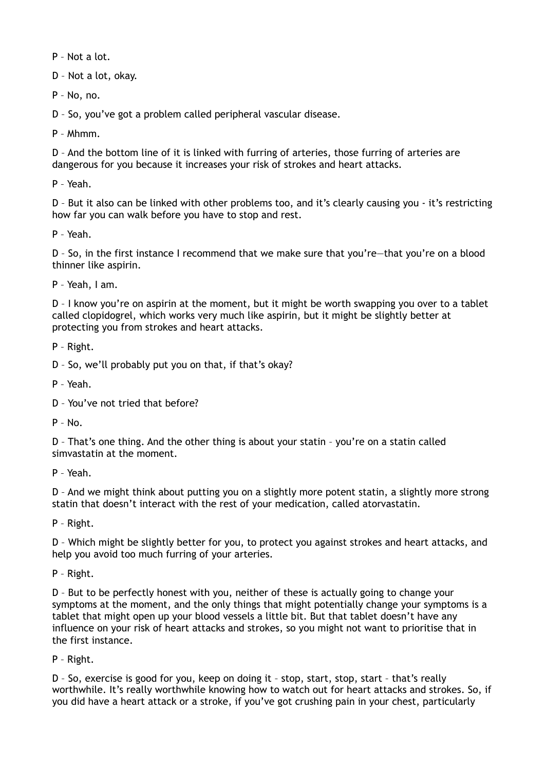P – Not a lot.

D – Not a lot, okay.

P – No, no.

D – So, you've got a problem called peripheral vascular disease.

P – Mhmm.

D – And the bottom line of it is linked with furring of arteries, those furring of arteries are dangerous for you because it increases your risk of strokes and heart attacks.

P – Yeah.

D – But it also can be linked with other problems too, and it's clearly causing you - it's restricting how far you can walk before you have to stop and rest.

P – Yeah.

D – So, in the first instance I recommend that we make sure that you're—that you're on a blood thinner like aspirin.

P – Yeah, I am.

D - I know you're on aspirin at the moment, but it might be worth swapping you over to a tablet called clopidogrel, which works very much like aspirin, but it might be slightly better at protecting you from strokes and heart attacks.

P – Right.

D – So, we'll probably put you on that, if that's okay?

P – Yeah.

D – You've not tried that before?

 $P - No$ .

D – That's one thing. And the other thing is about your statin – you're on a statin called simvastatin at the moment.

P – Yeah.

D – And we might think about putting you on a slightly more potent statin, a slightly more strong statin that doesn't interact with the rest of your medication, called atorvastatin.

P – Right.

D – Which might be slightly better for you, to protect you against strokes and heart attacks, and help you avoid too much furring of your arteries.

P – Right.

D – But to be perfectly honest with you, neither of these is actually going to change your symptoms at the moment, and the only things that might potentially change your symptoms is a tablet that might open up your blood vessels a little bit. But that tablet doesn't have any influence on your risk of heart attacks and strokes, so you might not want to prioritise that in the first instance.

P – Right.

D – So, exercise is good for you, keep on doing it – stop, start, stop, start – that's really worthwhile. It's really worthwhile knowing how to watch out for heart attacks and strokes. So, if you did have a heart attack or a stroke, if you've got crushing pain in your chest, particularly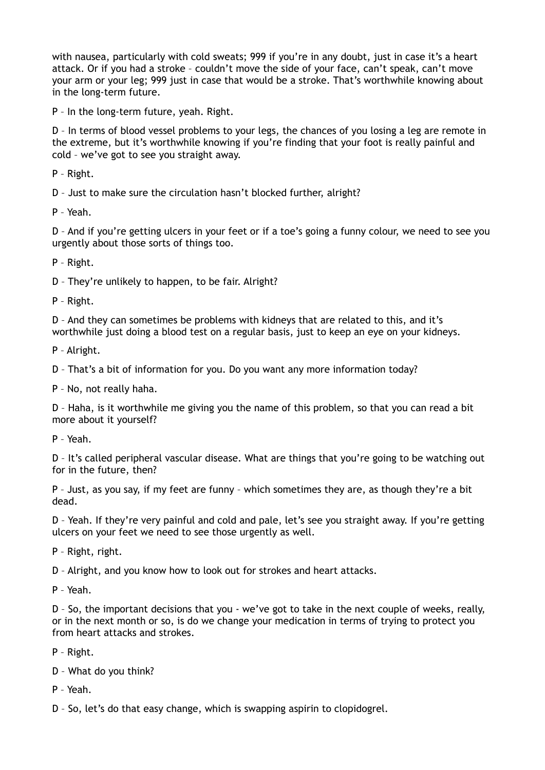with nausea, particularly with cold sweats; 999 if you're in any doubt, just in case it's a heart attack. Or if you had a stroke – couldn't move the side of your face, can't speak, can't move your arm or your leg; 999 just in case that would be a stroke. That's worthwhile knowing about in the long-term future.

P – In the long-term future, yeah. Right.

D – In terms of blood vessel problems to your legs, the chances of you losing a leg are remote in the extreme, but it's worthwhile knowing if you're finding that your foot is really painful and cold – we've got to see you straight away.

P – Right.

D – Just to make sure the circulation hasn't blocked further, alright?

P – Yeah.

D – And if you're getting ulcers in your feet or if a toe's going a funny colour, we need to see you urgently about those sorts of things too.

P – Right.

D – They're unlikely to happen, to be fair. Alright?

P – Right.

D – And they can sometimes be problems with kidneys that are related to this, and it's worthwhile just doing a blood test on a regular basis, just to keep an eye on your kidneys.

P – Alright.

D – That's a bit of information for you. Do you want any more information today?

P – No, not really haha.

D – Haha, is it worthwhile me giving you the name of this problem, so that you can read a bit more about it yourself?

P – Yeah.

D – It's called peripheral vascular disease. What are things that you're going to be watching out for in the future, then?

P – Just, as you say, if my feet are funny – which sometimes they are, as though they're a bit dead.

D – Yeah. If they're very painful and cold and pale, let's see you straight away. If you're getting ulcers on your feet we need to see those urgently as well.

P – Right, right.

D – Alright, and you know how to look out for strokes and heart attacks.

P – Yeah.

D – So, the important decisions that you - we've got to take in the next couple of weeks, really, or in the next month or so, is do we change your medication in terms of trying to protect you from heart attacks and strokes.

P – Right.

D – What do you think?

P – Yeah.

D – So, let's do that easy change, which is swapping aspirin to clopidogrel.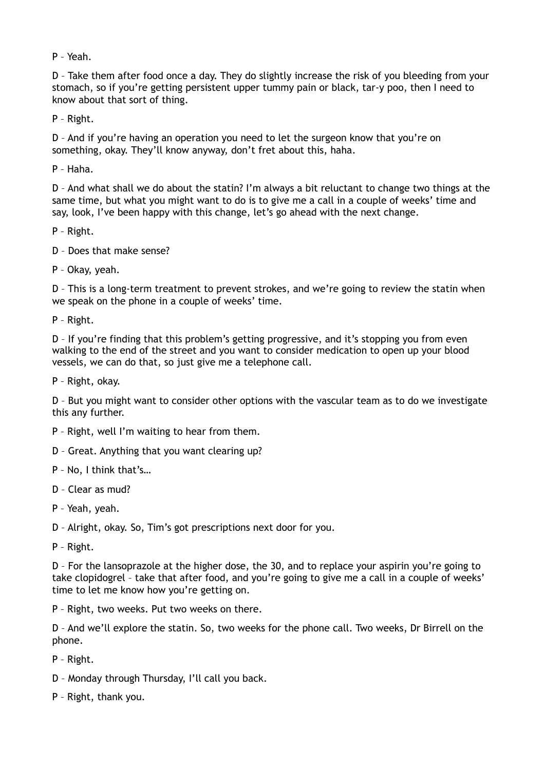P – Yeah.

D – Take them after food once a day. They do slightly increase the risk of you bleeding from your stomach, so if you're getting persistent upper tummy pain or black, tar-y poo, then I need to know about that sort of thing.

P – Right.

D – And if you're having an operation you need to let the surgeon know that you're on something, okay. They'll know anyway, don't fret about this, haha.

P – Haha.

D – And what shall we do about the statin? I'm always a bit reluctant to change two things at the same time, but what you might want to do is to give me a call in a couple of weeks' time and say, look, I've been happy with this change, let's go ahead with the next change.

P – Right.

D – Does that make sense?

P – Okay, yeah.

D – This is a long-term treatment to prevent strokes, and we're going to review the statin when we speak on the phone in a couple of weeks' time.

P – Right.

D – If you're finding that this problem's getting progressive, and it's stopping you from even walking to the end of the street and you want to consider medication to open up your blood vessels, we can do that, so just give me a telephone call.

P – Right, okay.

D – But you might want to consider other options with the vascular team as to do we investigate this any further.

- P Right, well I'm waiting to hear from them.
- D Great. Anything that you want clearing up?
- P No, I think that's…
- D Clear as mud?
- P Yeah, yeah.

D – Alright, okay. So, Tim's got prescriptions next door for you.

P – Right.

D – For the lansoprazole at the higher dose, the 30, and to replace your aspirin you're going to take clopidogrel – take that after food, and you're going to give me a call in a couple of weeks' time to let me know how you're getting on.

P – Right, two weeks. Put two weeks on there.

D – And we'll explore the statin. So, two weeks for the phone call. Two weeks, Dr Birrell on the phone.

P – Right.

- D Monday through Thursday, I'll call you back.
- P Right, thank you.